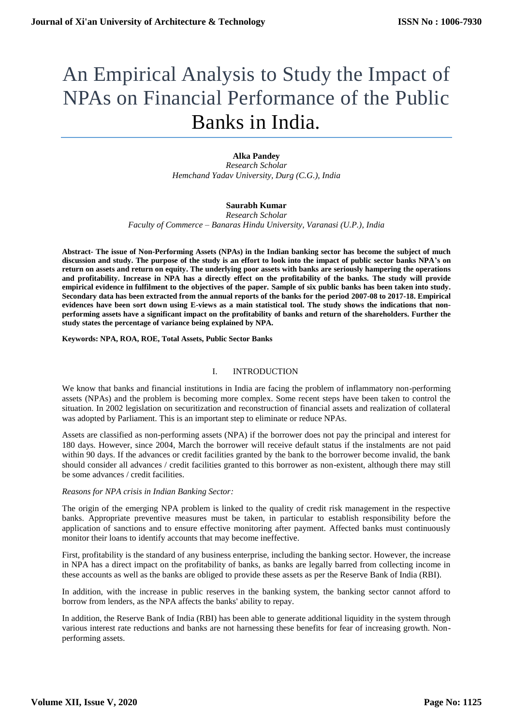# An Empirical Analysis to Study the Impact of NPAs on Financial Performance of the Public Banks in India.

## **Alka Pandey**

*Research Scholar Hemchand Yadav University, Durg (C.G.), India*

## **Saurabh Kumar**

*Research Scholar Faculty of Commerce – Banaras Hindu University, Varanasi (U.P.), India*

**Abstract- The issue of Non-Performing Assets (NPAs) in the Indian banking sector has become the subject of much discussion and study. The purpose of the study is an effort to look into the impact of public sector banks NPA's on return on assets and return on equity. The underlying poor assets with banks are seriously hampering the operations and profitability. Increase in NPA has a directly effect on the profitability of the banks. The study will provide empirical evidence in fulfilment to the objectives of the paper. Sample of six public banks has been taken into study. Secondary data has been extracted from the annual reports of the banks for the period 2007-08 to 2017-18. Empirical evidences have been sort down using E-views as a main statistical tool. The study shows the indications that nonperforming assets have a significant impact on the profitability of banks and return of the shareholders. Further the study states the percentage of variance being explained by NPA.**

**Keywords: NPA, ROA, ROE, Total Assets, Public Sector Banks**

## I. INTRODUCTION

We know that banks and financial institutions in India are facing the problem of inflammatory non-performing assets (NPAs) and the problem is becoming more complex. Some recent steps have been taken to control the situation. In 2002 legislation on securitization and reconstruction of financial assets and realization of collateral was adopted by Parliament. This is an important step to eliminate or reduce NPAs.

Assets are classified as non-performing assets (NPA) if the borrower does not pay the principal and interest for 180 days. However, since 2004, March the borrower will receive default status if the instalments are not paid within 90 days. If the advances or credit facilities granted by the bank to the borrower become invalid, the bank should consider all advances / credit facilities granted to this borrower as non-existent, although there may still be some advances / credit facilities.

## *Reasons for NPA crisis in Indian Banking Sector:*

The origin of the emerging NPA problem is linked to the quality of credit risk management in the respective banks. Appropriate preventive measures must be taken, in particular to establish responsibility before the application of sanctions and to ensure effective monitoring after payment. Affected banks must continuously monitor their loans to identify accounts that may become ineffective.

First, profitability is the standard of any business enterprise, including the banking sector. However, the increase in NPA has a direct impact on the profitability of banks, as banks are legally barred from collecting income in these accounts as well as the banks are obliged to provide these assets as per the Reserve Bank of India (RBI).

In addition, with the increase in public reserves in the banking system, the banking sector cannot afford to borrow from lenders, as the NPA affects the banks' ability to repay.

In addition, the Reserve Bank of India (RBI) has been able to generate additional liquidity in the system through various interest rate reductions and banks are not harnessing these benefits for fear of increasing growth. Nonperforming assets.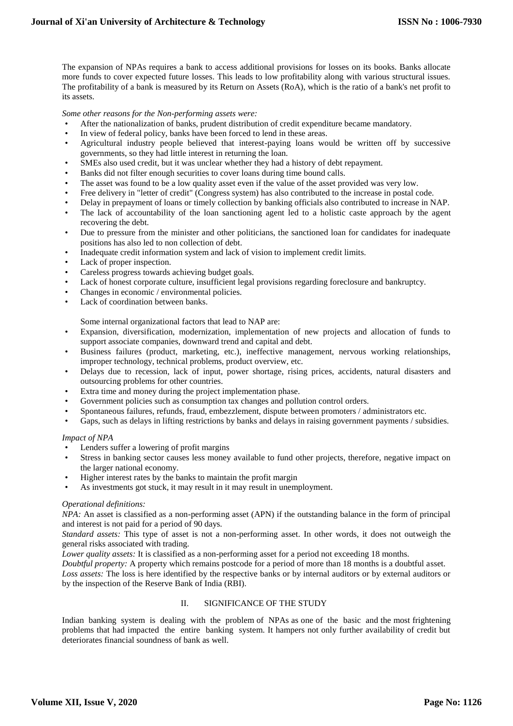The expansion of NPAs requires a bank to access additional provisions for losses on its books. Banks allocate more funds to cover expected future losses. This leads to low profitability along with various structural issues. The profitability of a bank is measured by its Return on Assets (RoA), which is the ratio of a bank's net profit to its assets.

*Some other reasons for the Non-performing assets were:*

- After the nationalization of banks, prudent distribution of credit expenditure became mandatory.
- In view of federal policy, banks have been forced to lend in these areas.
- Agricultural industry people believed that interest-paying loans would be written off by successive governments, so they had little interest in returning the loan.
- SMEs also used credit, but it was unclear whether they had a history of debt repayment.
- Banks did not filter enough securities to cover loans during time bound calls.
- The asset was found to be a low quality asset even if the value of the asset provided was very low.
- Free delivery in "letter of credit" (Congress system) has also contributed to the increase in postal code.
- Delay in prepayment of loans or timely collection by banking officials also contributed to increase in NAP.
- The lack of accountability of the loan sanctioning agent led to a holistic caste approach by the agent recovering the debt.
- Due to pressure from the minister and other politicians, the sanctioned loan for candidates for inadequate positions has also led to non collection of debt.
- Inadequate credit information system and lack of vision to implement credit limits.
- Lack of proper inspection.
- Careless progress towards achieving budget goals.
- Lack of honest corporate culture, insufficient legal provisions regarding foreclosure and bankruptcy.
- Changes in economic / environmental policies.
- Lack of coordination between banks.

Some internal organizational factors that lead to NAP are:

- Expansion, diversification, modernization, implementation of new projects and allocation of funds to support associate companies, downward trend and capital and debt.
- Business failures (product, marketing, etc.), ineffective management, nervous working relationships, improper technology, technical problems, product overview, etc.
- Delays due to recession, lack of input, power shortage, rising prices, accidents, natural disasters and outsourcing problems for other countries.
- Extra time and money during the project implementation phase.
- Government policies such as consumption tax changes and pollution control orders.
- Spontaneous failures, refunds, fraud, embezzlement, dispute between promoters / administrators etc.
- Gaps, such as delays in lifting restrictions by banks and delays in raising government payments / subsidies.

## *Impact of NPA*

- Lenders suffer a lowering of profit margins
- Stress in banking sector causes less money available to fund other projects, therefore, negative impact on the larger national economy.
- Higher interest rates by the banks to maintain the profit margin
- As investments got stuck, it may result in it may result in unemployment.

## *Operational definitions:*

*NPA:* An asset is classified as a non-performing asset (APN) if the outstanding balance in the form of principal and interest is not paid for a period of 90 days.

*Standard assets:* This type of asset is not a non-performing asset. In other words, it does not outweigh the general risks associated with trading.

*Lower quality assets:* It is classified as a non-performing asset for a period not exceeding 18 months.

*Doubtful property:* A property which remains postcode for a period of more than 18 months is a doubtful asset.

*Loss assets:* The loss is here identified by the respective banks or by internal auditors or by external auditors or by the inspection of the Reserve Bank of India (RBI).

## II. SIGNIFICANCE OF THE STUDY

Indian banking system is dealing with the problem of NPAs as one of the basic and the most frightening problems that had impacted the entire banking system. It hampers not only further availability of credit but deteriorates financial soundness of bank as well.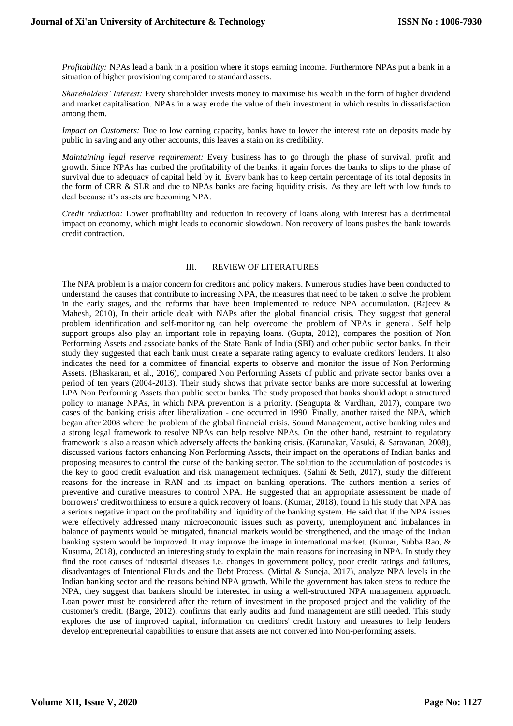*Profitability:* NPAs lead a bank in a position where it stops earning income. Furthermore NPAs put a bank in a situation of higher provisioning compared to standard assets.

*Shareholders' Interest:* Every shareholder invests money to maximise his wealth in the form of higher dividend and market capitalisation. NPAs in a way erode the value of their investment in which results in dissatisfaction among them.

*Impact on Customers:* Due to low earning capacity, banks have to lower the interest rate on deposits made by public in saving and any other accounts, this leaves a stain on its credibility.

*Maintaining legal reserve requirement:* Every business has to go through the phase of survival, profit and growth. Since NPAs has curbed the profitability of the banks, it again forces the banks to slips to the phase of survival due to adequacy of capital held by it. Every bank has to keep certain percentage of its total deposits in the form of CRR & SLR and due to NPAs banks are facing liquidity crisis. As they are left with low funds to deal because it's assets are becoming NPA.

*Credit reduction:* Lower profitability and reduction in recovery of loans along with interest has a detrimental impact on economy, which might leads to economic slowdown. Non recovery of loans pushes the bank towards credit contraction.

## III. REVIEW OF LITERATURES

The NPA problem is a major concern for creditors and policy makers. Numerous studies have been conducted to understand the causes that contribute to increasing NPA, the measures that need to be taken to solve the problem in the early stages, and the reforms that have been implemented to reduce NPA accumulation. (Rajeev & Mahesh, 2010), In their article dealt with NAPs after the global financial crisis. They suggest that general problem identification and self-monitoring can help overcome the problem of NPAs in general. Self help support groups also play an important role in repaying loans. (Gupta, 2012), compares the position of Non Performing Assets and associate banks of the State Bank of India (SBI) and other public sector banks. In their study they suggested that each bank must create a separate rating agency to evaluate creditors' lenders. It also indicates the need for a committee of financial experts to observe and monitor the issue of Non Performing Assets. (Bhaskaran, et al., 2016), compared Non Performing Assets of public and private sector banks over a period of ten years (2004-2013). Their study shows that private sector banks are more successful at lowering LPA Non Performing Assets than public sector banks. The study proposed that banks should adopt a structured policy to manage NPAs, in which NPA prevention is a priority. (Sengupta & Vardhan, 2017), compare two cases of the banking crisis after liberalization - one occurred in 1990. Finally, another raised the NPA, which began after 2008 where the problem of the global financial crisis. Sound Management, active banking rules and a strong legal framework to resolve NPAs can help resolve NPAs. On the other hand, restraint to regulatory framework is also a reason which adversely affects the banking crisis. (Karunakar, Vasuki, & Saravanan, 2008), discussed various factors enhancing Non Performing Assets, their impact on the operations of Indian banks and proposing measures to control the curse of the banking sector. The solution to the accumulation of postcodes is the key to good credit evaluation and risk management techniques. (Sahni & Seth, 2017), study the different reasons for the increase in RAN and its impact on banking operations. The authors mention a series of preventive and curative measures to control NPA. He suggested that an appropriate assessment be made of borrowers' creditworthiness to ensure a quick recovery of loans. (Kumar, 2018), found in his study that NPA has a serious negative impact on the profitability and liquidity of the banking system. He said that if the NPA issues were effectively addressed many microeconomic issues such as poverty, unemployment and imbalances in balance of payments would be mitigated, financial markets would be strengthened, and the image of the Indian banking system would be improved. It may improve the image in international market. (Kumar, Subba Rao, & Kusuma, 2018), conducted an interesting study to explain the main reasons for increasing in NPA. In study they find the root causes of industrial diseases i.e. changes in government policy, poor credit ratings and failures, disadvantages of Intentional Fluids and the Debt Process. (Mittal & Suneja, 2017), analyze NPA levels in the Indian banking sector and the reasons behind NPA growth. While the government has taken steps to reduce the NPA, they suggest that bankers should be interested in using a well-structured NPA management approach. Loan power must be considered after the return of investment in the proposed project and the validity of the customer's credit. (Barge, 2012), confirms that early audits and fund management are still needed. This study explores the use of improved capital, information on creditors' credit history and measures to help lenders develop entrepreneurial capabilities to ensure that assets are not converted into Non-performing assets.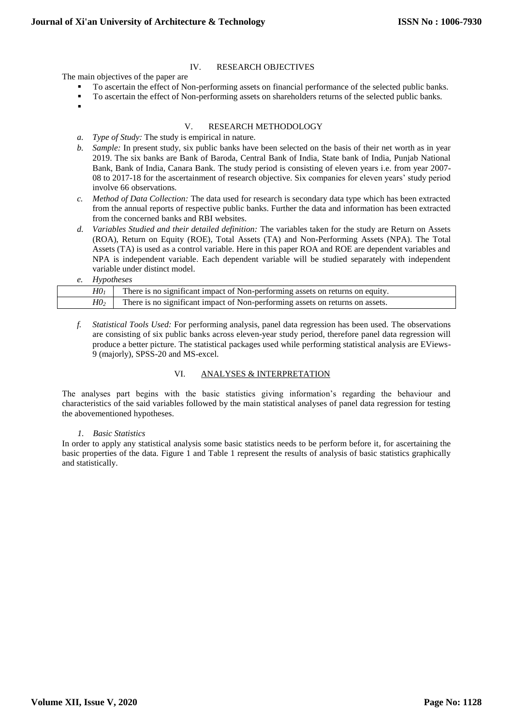## IV. RESEARCH OBJECTIVES

The main objectives of the paper are

- To ascertain the effect of Non-performing assets on financial performance of the selected public banks.
- To ascertain the effect of Non-performing assets on shareholders returns of the selected public banks.
- .

## V. RESEARCH METHODOLOGY

- *a. Type of Study:* The study is empirical in nature.
- *b. Sample:* In present study, six public banks have been selected on the basis of their net worth as in year 2019. The six banks are Bank of Baroda, Central Bank of India, State bank of India, Punjab National Bank, Bank of India, Canara Bank. The study period is consisting of eleven years i.e. from year 2007- 08 to 2017-18 for the ascertainment of research objective. Six companies for eleven years' study period involve 66 observations.
- *c. Method of Data Collection:* The data used for research is secondary data type which has been extracted from the annual reports of respective public banks. Further the data and information has been extracted from the concerned banks and RBI websites.
- *d. Variables Studied and their detailed definition:* The variables taken for the study are Return on Assets (ROA), Return on Equity (ROE), Total Assets (TA) and Non-Performing Assets (NPA). The Total Assets (TA) is used as a control variable. Here in this paper ROA and ROE are dependent variables and NPA is independent variable. Each dependent variable will be studied separately with independent variable under distinct model.

## *e. Hypotheses*

| H0 <sub>1</sub> | There is no significant impact of Non-performing assets on returns on equity. |
|-----------------|-------------------------------------------------------------------------------|
| H0 <sub>2</sub> | There is no significant impact of Non-performing assets on returns on assets. |

*f. Statistical Tools Used:* For performing analysis, panel data regression has been used. The observations are consisting of six public banks across eleven-year study period, therefore panel data regression will produce a better picture. The statistical packages used while performing statistical analysis are EViews-9 (majorly), SPSS-20 and MS-excel.

## VI. ANALYSES & INTERPRETATION

The analyses part begins with the basic statistics giving information's regarding the behaviour and characteristics of the said variables followed by the main statistical analyses of panel data regression for testing the abovementioned hypotheses.

## *1. Basic Statistics*

In order to apply any statistical analysis some basic statistics needs to be perform before it, for ascertaining the basic properties of the data. Figure 1 and Table 1 represent the results of analysis of basic statistics graphically and statistically.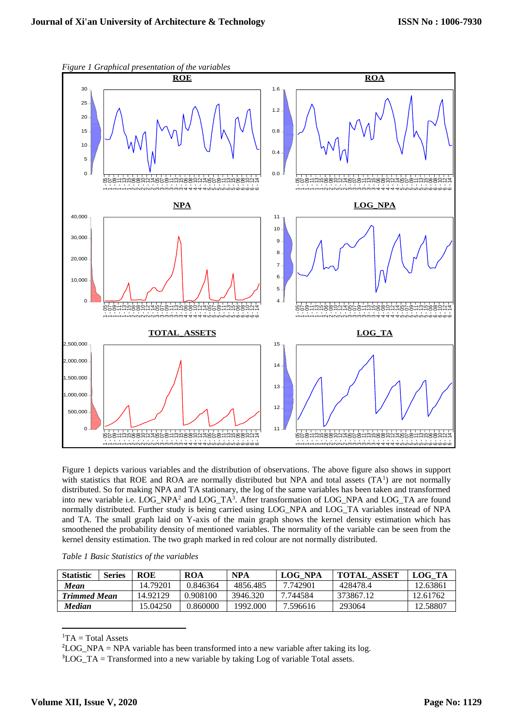

*Figure 1 Graphical presentation of the variables*

Figure 1 depicts various variables and the distribution of observations. The above figure also shows in support with statistics that ROE and ROA are normally distributed but NPA and total assets  $(TA<sup>1</sup>)$  are not normally distributed. So for making NPA and TA stationary, the log of the same variables has been taken and transformed into new variable i.e. LOG\_NPA<sup>2</sup> and LOG\_TA<sup>3</sup>. After transformation of LOG\_NPA and LOG\_TA are found normally distributed. Further study is being carried using LOG\_NPA and LOG\_TA variables instead of NPA and TA. The small graph laid on Y-axis of the main graph shows the kernel density estimation which has smoothened the probability density of mentioned variables. The normality of the variable can be seen from the kernel density estimation. The two graph marked in red colour are not normally distributed.

| Table 1 Basic Statistics of the variables |  |  |  |  |  |
|-------------------------------------------|--|--|--|--|--|
|-------------------------------------------|--|--|--|--|--|

| <b>Statistic</b>    | <b>Series</b> | <b>ROE</b> | ROA      | <b>NPA</b> | LOG NPA  | <b>TOTAL ASSET</b> | LOG TA   |
|---------------------|---------------|------------|----------|------------|----------|--------------------|----------|
| Mean                |               | 14.79201   | 0.846364 | 4856.485   | 7.742901 | 428478.4           | 12.63861 |
| <b>Trimmed Mean</b> |               | 14.92129   | 0.908100 | 3946.320   | 7.744584 | 373867.12          | 12.61762 |
| <b>Median</b>       |               | 15.04250   | 0.860000 | 1992.000   | 7.596616 | 293064             | 12.58807 |

 ${}^{1}TA = Total Assets$ 

**.** 

<sup>2</sup>LOG NPA = NPA variable has been transformed into a new variable after taking its log.

 $3LOGTA = Transformed into a new variable by taking Log of variable Total assets.$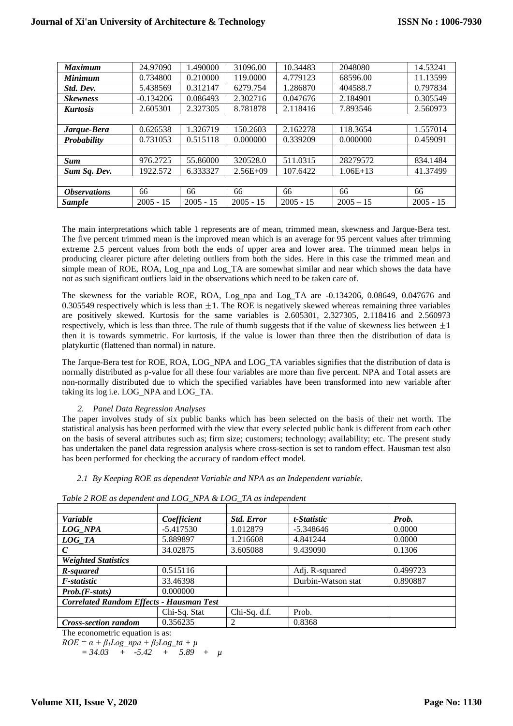| <b>Maximum</b>             | 24.97090    | 1.490000    | 31096.00    | 10.34483    | 2048080     | 14.53241    |
|----------------------------|-------------|-------------|-------------|-------------|-------------|-------------|
| <b>Minimum</b>             | 0.734800    | 0.210000    | 119,0000    | 4.779123    | 68596.00    | 11.13599    |
| Std. Dev.                  | 5.438569    | 0.312147    | 6279.754    | 1.286870    | 404588.7    | 0.797834    |
| <b>Skewness</b>            | $-0.134206$ | 0.086493    | 2.302716    | 0.047676    | 2.184901    | 0.305549    |
| <b>Kurtosis</b>            | 2.605301    | 2.327305    | 8.781878    | 2.118416    | 7.893546    | 2.560973    |
|                            |             |             |             |             |             |             |
| Jarque-Bera                | 0.626538    | 1.326719    | 150.2603    | 2.162278    | 118.3654    | 1.557014    |
| Probability                | 0.731053    | 0.515118    | 0.000000    | 0.339209    | 0.000000    | 0.459091    |
|                            |             |             |             |             |             |             |
| <b>Sum</b>                 | 976.2725    | 55.86000    | 320528.0    | 511.0315    | 28279572    | 834.1484    |
| Sum Sq. Dev.               | 1922.572    | 6.333327    | $2.56E+09$  | 107.6422    | $1.06E+13$  | 41.37499    |
|                            |             |             |             |             |             |             |
| <i><b>Observations</b></i> | 66          | 66          | 66          | 66          | 66          | 66          |
| <b>Sample</b>              | $2005 - 15$ | $2005 - 15$ | $2005 - 15$ | $2005 - 15$ | $2005 - 15$ | $2005 - 15$ |

The main interpretations which table 1 represents are of mean, trimmed mean, skewness and Jarque-Bera test. The five percent trimmed mean is the improved mean which is an average for 95 percent values after trimming extreme 2.5 percent values from both the ends of upper area and lower area. The trimmed mean helps in producing clearer picture after deleting outliers from both the sides. Here in this case the trimmed mean and simple mean of ROE, ROA, Log\_npa and Log\_TA are somewhat similar and near which shows the data have not as such significant outliers laid in the observations which need to be taken care of.

The skewness for the variable ROE, ROA, Log\_npa and Log\_TA are -0.134206, 0.08649, 0.047676 and 0.305549 respectively which is less than  $\pm 1$ . The ROE is negatively skewed whereas remaining three variables are positively skewed. Kurtosis for the same variables is 2.605301, 2.327305, 2.118416 and 2.560973 respectively, which is less than three. The rule of thumb suggests that if the value of skewness lies between  $\pm 1$ then it is towards symmetric. For kurtosis, if the value is lower than three then the distribution of data is platykurtic (flattened than normal) in nature.

The Jarque-Bera test for ROE, ROA, LOG\_NPA and LOG\_TA variables signifies that the distribution of data is normally distributed as p-value for all these four variables are more than five percent. NPA and Total assets are non-normally distributed due to which the specified variables have been transformed into new variable after taking its log i.e. LOG\_NPA and LOG\_TA.

## *2. Panel Data Regression Analyses*

The paper involves study of six public banks which has been selected on the basis of their net worth. The statistical analysis has been performed with the view that every selected public bank is different from each other on the basis of several attributes such as; firm size; customers; technology; availability; etc. The present study has undertaken the panel data regression analysis where cross-section is set to random effect. Hausman test also has been performed for checking the accuracy of random effect model.

## *2.1 By Keeping ROE as dependent Variable and NPA as an Independent variable.*

| <b>Variable</b>                                 | Coefficient  | <b>Std. Error</b> | t-Statistic        | Prob.    |  |  |
|-------------------------------------------------|--------------|-------------------|--------------------|----------|--|--|
| LOG NPA                                         | $-5.417530$  | 1.012879          | $-5.348646$        | 0.0000   |  |  |
| LOG TA                                          | 5.889897     | 1.216608          | 4.841244           | 0.0000   |  |  |
| $\mathcal{C}$                                   | 34.02875     | 3.605088          | 9.439090           | 0.1306   |  |  |
| <b>Weighted Statistics</b>                      |              |                   |                    |          |  |  |
| R-squared                                       | 0.515116     |                   | Adj. R-squared     | 0.499723 |  |  |
| F-statistic                                     | 33.46398     |                   | Durbin-Watson stat | 0.890887 |  |  |
| $Prob.(F-stats)$                                | 0.000000     |                   |                    |          |  |  |
| <b>Correlated Random Effects - Hausman Test</b> |              |                   |                    |          |  |  |
|                                                 | Chi-Sq. Stat | Chi-Sq. d.f.      | Prob.              |          |  |  |
| <b>Cross-section random</b>                     | 0.356235     |                   | 0.8368             |          |  |  |

*Table 2 ROE as dependent and LOG\_NPA & LOG\_TA as independent*

The econometric equation is as:

 $ROE = \alpha + \beta_1 Log$   $npa + \beta_2 Log\_ta + \mu$ 

 $= 34.03 + 5.42 + 5.89 + \mu$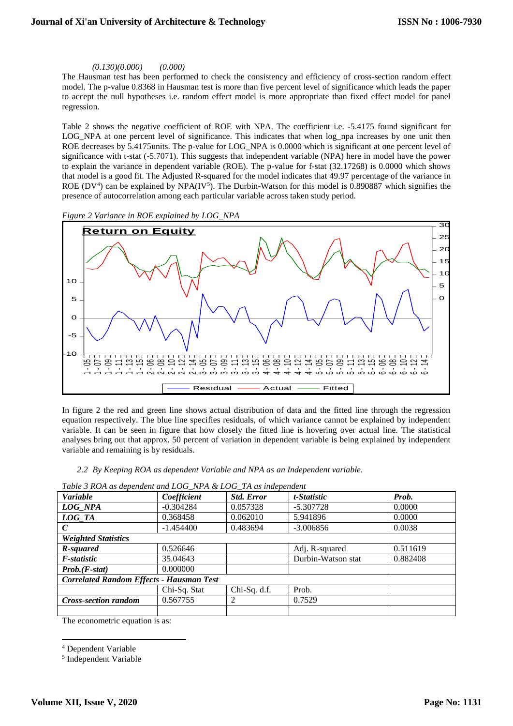## *(0.130)(0.000) (0.000)*

The Hausman test has been performed to check the consistency and efficiency of cross-section random effect model. The p-value 0.8368 in Hausman test is more than five percent level of significance which leads the paper to accept the null hypotheses i.e. random effect model is more appropriate than fixed effect model for panel regression.

Table 2 shows the negative coefficient of ROE with NPA. The coefficient i.e. -5.4175 found significant for LOG\_NPA at one percent level of significance. This indicates that when log\_npa increases by one unit then ROE decreases by 5.4175units. The p-value for LOG\_NPA is 0.0000 which is significant at one percent level of significance with t-stat (-5.7071). This suggests that independent variable (NPA) here in model have the power to explain the variance in dependent variable (ROE). The p-value for f-stat (32.17268) is 0.0000 which shows that model is a good fit. The Adjusted R-squared for the model indicates that 49.97 percentage of the variance in ROE (DV<sup>4</sup>) can be explained by NPA(IV<sup>5</sup>). The Durbin-Watson for this model is 0.890887 which signifies the presence of autocorrelation among each particular variable across taken study period.





In figure 2 the red and green line shows actual distribution of data and the fitted line through the regression equation respectively. The blue line specifies residuals, of which variance cannot be explained by independent variable. It can be seen in figure that how closely the fitted line is hovering over actual line. The statistical analyses bring out that approx. 50 percent of variation in dependent variable is being explained by independent variable and remaining is by residuals.

*2.2 By Keeping ROA as dependent Variable and NPA as an Independent variable.*

| Coefficient<br><b>Std. Error</b>                | t-Statistic                                                                                            | Prob.        |  |  |  |  |
|-------------------------------------------------|--------------------------------------------------------------------------------------------------------|--------------|--|--|--|--|
| 0.057328                                        | $-5.307728$                                                                                            | 0.0000       |  |  |  |  |
| 0.062010                                        | 5.941896                                                                                               | 0.0000       |  |  |  |  |
| 0.483694                                        | $-3.006856$                                                                                            | 0.0038       |  |  |  |  |
| <b>Weighted Statistics</b>                      |                                                                                                        |              |  |  |  |  |
|                                                 | Adj. R-squared                                                                                         | 0.511619     |  |  |  |  |
|                                                 | Durbin-Watson stat                                                                                     | 0.882408     |  |  |  |  |
|                                                 |                                                                                                        |              |  |  |  |  |
| <b>Correlated Random Effects - Hausman Test</b> |                                                                                                        |              |  |  |  |  |
|                                                 | Prob.                                                                                                  |              |  |  |  |  |
| 2                                               | 0.7529                                                                                                 |              |  |  |  |  |
|                                                 |                                                                                                        |              |  |  |  |  |
|                                                 | $-0.304284$<br>0.368458<br>$-1.454400$<br>0.526646<br>35.04643<br>0.000000<br>Chi-Sq. Stat<br>0.567755 | Chi-Sq. d.f. |  |  |  |  |

*Table 3 ROA as dependent and LOG\_NPA & LOG\_TA as independent*

The econometric equation is as:

5 Independent Variable

**<sup>.</sup>** <sup>4</sup> Dependent Variable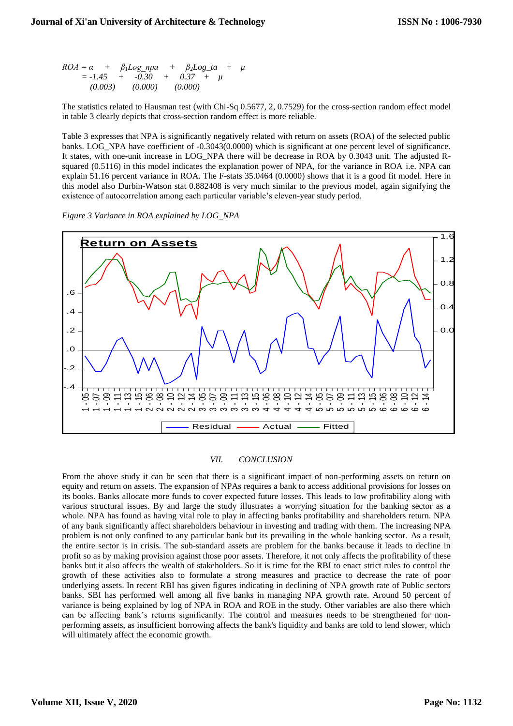$ROA = \alpha + \beta_1 Log$  npa +  $\beta_2 Log\_ta + \mu$  $= -1.45 + -0.30 + 0.37 + u$  *(0.003) (0.000) (0.000)*

The statistics related to Hausman test (with Chi-Sq 0.5677, 2, 0.7529) for the cross-section random effect model in table 3 clearly depicts that cross-section random effect is more reliable.

Table 3 expresses that NPA is significantly negatively related with return on assets (ROA) of the selected public banks. LOG\_NPA have coefficient of -0.3043(0.0000) which is significant at one percent level of significance. It states, with one-unit increase in LOG\_NPA there will be decrease in ROA by 0.3043 unit. The adjusted Rsquared (0.5116) in this model indicates the explanation power of NPA, for the variance in ROA i.e. NPA can explain 51.16 percent variance in ROA. The F-stats 35.0464 (0.0000) shows that it is a good fit model. Here in this model also Durbin-Watson stat 0.882408 is very much similar to the previous model, again signifying the existence of autocorrelation among each particular variable's eleven-year study period.

*Figure 3 Variance in ROA explained by LOG\_NPA*



#### *VII. CONCLUSION*

From the above study it can be seen that there is a significant impact of non-performing assets on return on equity and return on assets. The expansion of NPAs requires a bank to access additional provisions for losses on its books. Banks allocate more funds to cover expected future losses. This leads to low profitability along with various structural issues. By and large the study illustrates a worrying situation for the banking sector as a whole. NPA has found as having vital role to play in affecting banks profitability and shareholders return. NPA of any bank significantly affect shareholders behaviour in investing and trading with them. The increasing NPA problem is not only confined to any particular bank but its prevailing in the whole banking sector. As a result, the entire sector is in crisis. The sub-standard assets are problem for the banks because it leads to decline in profit so as by making provision against those poor assets. Therefore, it not only affects the profitability of these banks but it also affects the wealth of stakeholders. So it is time for the RBI to enact strict rules to control the growth of these activities also to formulate a strong measures and practice to decrease the rate of poor underlying assets. In recent RBI has given figures indicating in declining of NPA growth rate of Public sectors banks. SBI has performed well among all five banks in managing NPA growth rate. Around 50 percent of variance is being explained by log of NPA in ROA and ROE in the study. Other variables are also there which can be affecting bank's returns significantly. The control and measures needs to be strengthened for nonperforming assets, as insufficient borrowing affects the bank's liquidity and banks are told to lend slower, which will ultimately affect the economic growth.